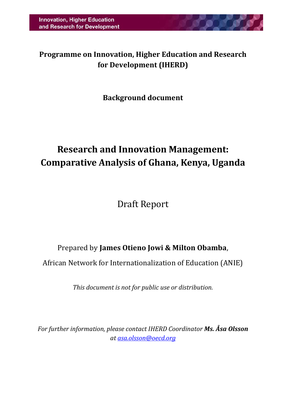**Programme on Innovation, Higher Education and Research for Development (IHERD)**

## **Background document**

# **Research and Innovation Management: Comparative Analysis of Ghana, Kenya, Uganda**

Draft Report

## Prepared by **James Otieno Jowi & Milton Obamba**,

African Network for Internationalization of Education (ANIE)

*This document is not for public use or distribution.*

*For further information, please contact IHERD Coordinator Ms. Åsa Olsson at [asa.olsson@oecd.org](mailto:asa.olsson@oecd.org)*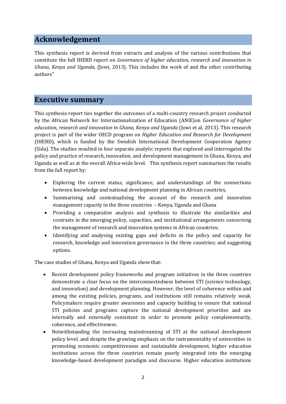#### **Acknowledgement**

This synthesis report is derived from extracts and analysis of the various contributions that constitute the full IHERD report on *Governance of higher education, research and innovation in Ghana, Kenya and Uganda*, (Jowi, 2013). This includes the work of and the other contributing authors"

#### <span id="page-1-0"></span>**Executive summary**

This synthesis report ties together the outcomes of a multi-country research project conducted by the African Network for Internationalization of Education (ANIE)on *Governance of higher education, research and innovation in Ghana, Kenya and Uganda* (Jowi et al, 2013). This research project is part of the wider OECD program on *Higher Education and Research for Development* (IHERD), which is funded by the Swedish International Development Cooperation Agency (Sida). The studies resulted in four separate analytic reports that explored and interrogated the policy and practice of research, innovation, and development management in Ghana, Kenya, and Uganda as well as at the overall Africa-wide level. This synthesis report summarises the results from the full report by:

- Exploring the current status, significance, and understandings of the connections between knowledge and national development planning in African countries,
- Summarising and contextualizing the account of the research and innovation management capacity in the three countries – Kenya, Uganda and Ghana
- Providing a comparative analysis and synthesis to illustrate the similarities and contrasts in the emerging policy, capacities, and institutional arrangements concerning the management of research and innovation systems in African countries;
- Identifying and analysing existing gaps and deficits in the policy and capacity for research, knowledge and innovation governance in the three countries; and suggesting options.

The case studies of Ghana, Kenya and Uganda show that:

- Recent development policy frameworks and program initiatives in the three countries demonstrate a clear focus on the interconnectedness between STI (science technology, and innovation) and development planning. However, the level of coherence within and among the existing policies, programs, and institutions still remains relatively weak. Policymakers require greater awareness and capacity building to ensure that national STI policies and programs capture the national development priorities and are internally and externally consistent in order to promote policy complementarily, coherence, and effectiveness.
- Notwithstanding the increasing mainstreaming of STI at the national development policy level, and despite the growing emphasis on the instrumentality of universities in promoting economic competitiveness and sustainable development, higher education institutions across the three countries remain poorly integrated into the emerging knowledge-based development paradigm and discourse. Higher education institutions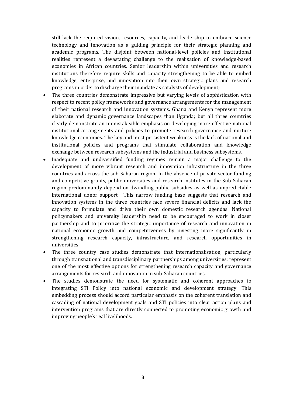still lack the required vision, resources, capacity, and leadership to embrace science technology and innovation as a guiding principle for their strategic planning and academic programs. The disjoint between national-level policies and institutional realities represent a devastating challenge to the realisation of knowledge-based economies in African countries. Senior leadership within universities and research institutions therefore require skills and capacity strengthening to be able to embed knowledge, enterprise, and innovation into their own strategic plans and research programs in order to discharge their mandate as catalysts of development;

- The three countries demonstrate impressive but varying levels of sophistication with respect to recent policy frameworks and governance arrangements for the management of their national research and innovation systems. Ghana and Kenya represent more elaborate and dynamic governance landscapes than Uganda; but all three countries clearly demonstrate an unmistakeable emphasis on developing more effective national institutional arrangements and policies to promote research governance and nurture knowledge economies. The key and most persistent weakness is the lack of national and institutional policies and programs that stimulate collaboration and knowledge exchange between research subsystems and the industrial and business subsystems.
- Inadequate and undiversified funding regimes remain a major challenge to the development of more vibrant research and innovation infrastructure in the three countries and across the sub-Saharan region. In the absence of private-sector funding and competitive grants, public universities and research institutes in the Sub-Saharan region predominantly depend on dwindling public subsidies as well as unpredictable international donor support. This narrow funding base suggests that research and innovation systems in the three countries face severe financial deficits and lack the capacity to formulate and drive their own domestic research agendas. National policymakers and university leadership need to be encouraged to work in closer partnership and to prioritize the strategic importance of research and innovation in national economic growth and competitiveness by investing more significantly in strengthening research capacity, infrastructure, and research opportunities in universities.
- The three country case studies demonstrate that internationalisation, particularly through transnational and transdisciplinary partnerships among universities; represent one of the most effective options for strengthening research capacity and governance arrangements for research and innovation in sub-Saharan countries.
- The studies demonstrate the need for systematic and coherent approaches to integrating STI Policy into national economic and development strategy. This embedding process should accord particular emphasis on the coherent translation and cascading of national development goals and STI policies into clear action plans and intervention programs that are directly connected to promoting economic growth and improving people's real livelihoods.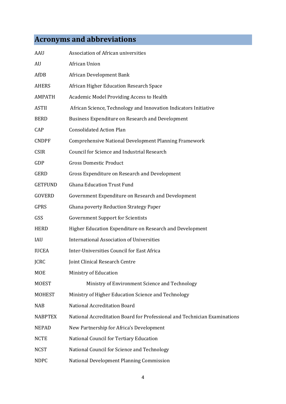## **Acronyms and abbreviations**

| <b>AAU</b>     | Association of African universities                                       |
|----------------|---------------------------------------------------------------------------|
| AU             | African Union                                                             |
| AfDB           | African Development Bank                                                  |
| <b>AHERS</b>   | African Higher Education Research Space                                   |
| <b>AMPATH</b>  | Academic Model Providing Access to Health                                 |
| <b>ASTII</b>   | African Science, Technology and Innovation Indicators Initiative          |
| <b>BERD</b>    | Business Expenditure on Research and Development                          |
| CAP            | <b>Consolidated Action Plan</b>                                           |
| <b>CNDPF</b>   | Comprehensive National Development Planning Framework                     |
| <b>CSIR</b>    | Council for Science and Industrial Research                               |
| GDP            | <b>Gross Domestic Product</b>                                             |
| <b>GERD</b>    | Gross Expenditure on Research and Development                             |
| <b>GETFUND</b> | <b>Ghana Education Trust Fund</b>                                         |
| <b>GOVERD</b>  | Government Expenditure on Research and Development                        |
| <b>GPRS</b>    | Ghana poverty Reduction Strategy Paper                                    |
| GSS            | <b>Government Support for Scientists</b>                                  |
| <b>HERD</b>    | Higher Education Expenditure on Research and Development                  |
| IAU            | <b>International Association of Universities</b>                          |
| <b>IUCEA</b>   | Inter-Universities Council for East Africa                                |
| <b>JCRC</b>    | Joint Clinical Research Centre                                            |
| MOE            | Ministry of Education                                                     |
| <b>MOEST</b>   | Ministry of Environment Science and Technology                            |
| <b>MOHEST</b>  | Ministry of Higher Education Science and Technology                       |
| <b>NAB</b>     | <b>National Accreditation Board</b>                                       |
| <b>NABPTEX</b> | National Accreditation Board for Professional and Technician Examinations |
| <b>NEPAD</b>   | New Partnership for Africa's Development                                  |
| <b>NCTE</b>    | National Council for Tertiary Education                                   |
| <b>NCST</b>    | National Council for Science and Technology                               |
| <b>NDPC</b>    | National Development Planning Commission                                  |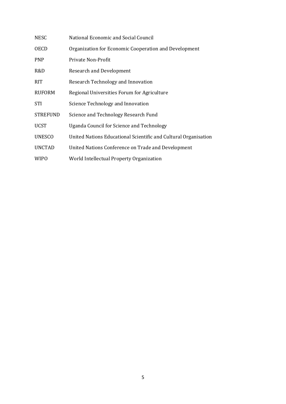| <b>NESC</b>     | National Economic and Social Council                            |
|-----------------|-----------------------------------------------------------------|
| <b>OECD</b>     | Organization for Economic Cooperation and Development           |
| <b>PNP</b>      | Private Non-Profit                                              |
| R&D             | <b>Research and Development</b>                                 |
| <b>RIT</b>      | Research Technology and Innovation                              |
| <b>RUFORM</b>   | Regional Universities Forum for Agriculture                     |
| <b>STI</b>      | Science Technology and Innovation                               |
| <b>STREFUND</b> | Science and Technology Research Fund                            |
| <b>UCST</b>     | Uganda Council for Science and Technology                       |
| <b>UNESCO</b>   | United Nations Educational Scientific and Cultural Organisation |
| <b>UNCTAD</b>   | United Nations Conference on Trade and Development              |
| <b>WIPO</b>     | World Intellectual Property Organization                        |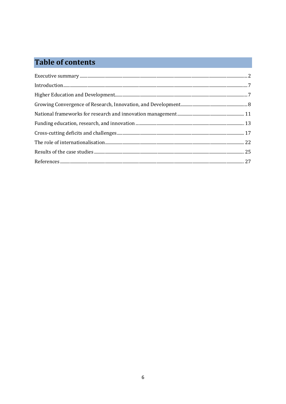## **Table of contents**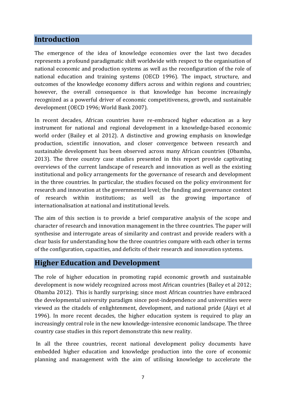## <span id="page-6-0"></span>**Introduction**

The emergence of the idea of knowledge economies over the last two decades represents a profound paradigmatic shift worldwide with respect to the organisation of national economic and production systems as well as the reconfiguration of the role of national education and training systems (OECD 1996). The impact, structure, and outcomes of the knowledge economy differs across and within regions and countries; however, the overall consequence is that knowledge has become increasingly recognized as a powerful driver of economic competitiveness, growth, and sustainable development (OECD 1996; World Bank 2007).

In recent decades, African countries have re-embraced higher education as a key instrument for national and regional development in a knowledge-based economic world order (Bailey et al 2012). A distinctive and growing emphasis on knowledge production, scientific innovation, and closer convergence between research and sustainable development has been observed across many African countries (Obamba, 2013). The three country case studies presented in this report provide captivating overviews of the current landscape of research and innovation as well as the existing institutional and policy arrangements for the governance of research and development in the three countries. In particular, the studies focused on the policy environment for research and innovation at the governmental level; the funding and governance context of research within institutions; as well as the growing importance of internationalisation at national and institutional levels.

The aim of this section is to provide a brief comparative analysis of the scope and character of research and innovation management in the three countries. The paper will synthesise and interrogate areas of similarity and contrast and provide readers with a clear basis for understanding how the three countries compare with each other in terms of the configuration, capacities, and deficits of their research and innovation systems.

#### <span id="page-6-1"></span>**Higher Education and Development**

The role of higher education in promoting rapid economic growth and sustainable development is now widely recognized across most African countries (Bailey et al 2012; Obamba 2012). This is hardly surprising; since most African countries have embraced the developmental university paradigm since post-independence and universities were viewed as the citadels of enlightenment, development, and national pride (Ajayi et al 1996). In more recent decades, the higher education system is required to play an increasingly central role in the new knowledge-intensive economic landscape. The three country case studies in this report demonstrate this new reality.

In all the three countries, recent national development policy documents have embedded higher education and knowledge production into the core of economic planning and management with the aim of utilising knowledge to accelerate the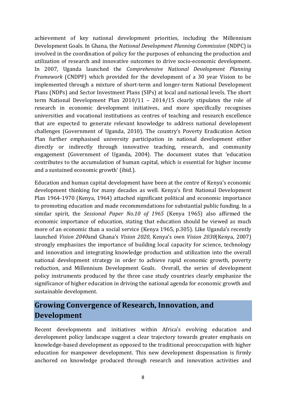achievement of key national development priorities, including the Millennium Development Goals. In Ghana, the *National Development Planning Commission* (NDPC) is involved in the coordination of policy for the purposes of enhancing the production and utilization of research and innovative outcomes to drive socio-economic development. In 2007, Uganda launched the *Comprehensive National Development Planning Framework* (CNDPF) which provided for the development of a 30 year Vision to be implemented through a mixture of short-term and longer-term National Development Plans (NDPs) and Sector Investment Plans (SIPs) at local and national levels. The short term National Development Plan 2010/11 – 2014/15 clearly stipulates the role of research in economic development initiatives, and more specifically recognises universities and vocational institutions as centres of teaching and research excellence that are expected to generate relevant knowledge to address national development challenges (Government of Uganda, 2010). The country's Poverty Eradication Action Plan further emphasised university participation in national development either directly or indirectly through innovative teaching, research, and community engagement (Government of Uganda, 2004). The document states that 'education contributes to the accumulation of human capital, which is essential for higher income and a sustained economic growth' (ibid.).

Education and human capital development have been at the centre of Kenya's economic development thinking for many decades as well. Kenya's first National Development Plan 1964-1970 (Kenya, 1964) attached significant political and economic importance to promoting education and made recommendations for substantial public funding. In a similar spirit, the *Sessional Paper No.10 of 1965* (Kenya 1965) also affirmed the economic importance of education, stating that education should be viewed as much more of an economic than a social service (Kenya 1965, p.305). Like Uganda's recently launched *Vision 2040*and Ghana's *Vision 2020*, Kenya's own *Vision 2030*(Kenya, 2007) strongly emphasizes the importance of building local capacity for science, technology and innovation and integrating knowledge production and utilization into the overall national development strategy in order to achieve rapid economic growth, poverty reduction, and Millennium Development Goals. Overall, the series of development policy instruments produced by the three case study countries clearly emphasize the significance of higher education in driving the national agenda for economic growth and sustainable development.

## <span id="page-7-0"></span>**Growing Convergence of Research, Innovation, and Development**

Recent developments and initiatives within Africa's evolving education and development policy landscape suggest a clear trajectory towards greater emphasis on knowledge-based development as opposed to the traditional preoccupation with higher education for manpower development. This new development dispensation is firmly anchored on knowledge produced through research and innovation activities and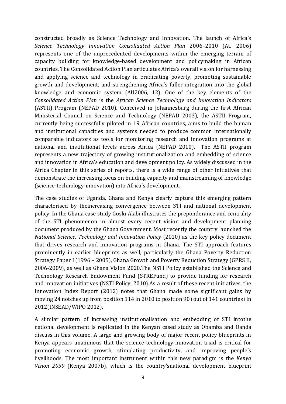constructed broadly as Science Technology and Innovation. The launch of Africa's *Science Technology Innovation Consolidated Action Plan* 2006–2010 (AU 2006) represents one of the unprecedented developments within the emerging terrain of capacity building for knowledge-based development and policymaking in African countries. The Consolidated Action Plan articulates Africa's overall vision for harnessing and applying science and technology in eradicating poverty, promoting sustainable growth and development, and strengthening Africa's fuller integration into the global knowledge and economic system (AU2006, 12). One of the key elements of the *Consolidated Action Plan* is the *African Science Technology and Innovation Indicators* (ASTII) Program (NEPAD 2010). Conceived in Johannesburg during the first African Ministerial Council on Science and Technology (NEPAD 2003), the ASTII Program, currently being successfully piloted in 19 African countries, aims to build the human and institutional capacities and systems needed to produce common internationally comparable indicators as tools for monitoring research and innovation programs at national and institutional levels across Africa (NEPAD 2010). The ASTII program represents a new trajectory of growing institutionalization and embedding of science and innovation in Africa's education and development policy. As widely discussed in the Africa Chapter in this series of reports, there is a wide range of other initiatives that demonstrate the increasing focus on building capacity and mainstreaming of knowledge (science-technology-innovation) into Africa's development.

The case studies of Uganda, Ghana and Kenya clearly capture this emerging pattern characterised by theincreasing convergence between STI and national development policy. In the Ghana case study Goski Alabi illustrates the preponderance and centrality of the STI phenomenon in almost every recent vision and development planning document produced by the Ghana Government. Most recently the country launched the *National Science, Technology and Innovation Policy* (2010) as the key policy document that drives research and innovation programs in Ghana. The STI approach features prominently in earlier blueprints as well, particularly the Ghana Poverty Reduction Strategy Paper I (1996 – 2005), Ghana Growth and Poverty Reduction Strategy (GPRS II, 2006-2009), as well as Ghana Vision 2020.The NSTI Policy established the Science and Technology Research Endowment Fund (STREFund) to provide funding for research and innovation initiatives (NSTI Policy, 2010).As a result of these recent initiatives, the Innovation Index Report (2012) notes that Ghana made some significant gains by moving 24 notches up from position 114 in 2010 to position 90 (out of 141 countries) in 2012(INSEAD/WIPO 2012).

A similar pattern of increasing institutionalisation and embedding of STI intothe national development is replicated in the Kenyan cased study as Obamba and Oanda discuss in this volume. A large and growing body of major recent policy blueprints in Kenya appears unanimous that the science-technology-innovation triad is critical for promoting economic growth, stimulating productivity, and improving people's livelihoods. The most important instrument within this new paradigm is the *Kenya Vision 2030* (Kenya 2007b), which is the country'snational development blueprint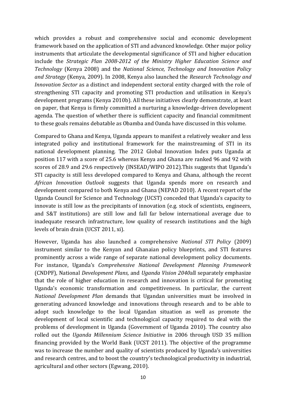which provides a robust and comprehensive social and economic development framework based on the application of STI and advanced knowledge. Other major policy instruments that articulate the developmental significance of STI and higher education include the *Strategic Plan 2008-2012 of the Ministry Higher Education Science and Technology* (Kenya 2008) and the *National Science, Technology and Innovation Policy and Strategy* (Kenya, 2009). In 2008, Kenya also launched the *Research Technology and Innovation Sector* as a distinct and independent sectoral entity charged with the role of strengthening STI capacity and promoting STI production and utilisation in Kenya's development programs (Kenya 2010b). All these initiatives clearly demonstrate, at least on paper, that Kenya is firmly committed a nurturing a knowledge-driven development agenda. The question of whether there is sufficient capacity and financial commitment to these goals remains debatable as Obamba and Oanda have discussed in this volume.

Compared to Ghana and Kenya, Uganda appears to manifest a relatively weaker and less integrated policy and institutional framework for the mainstreaming of STI in its national development planning. The 2012 Global Innovation Index puts Uganda at position 117 with a score of 25.6 whereas Kenya and Ghana are ranked 96 and 92 with scores of 28.9 and 29.6 respectively (INSEAD/WIPO 2012).This suggests that Uganda's STI capacity is still less developed compared to Kenya and Ghana, although the recent *African Innovation Outlook* suggests that Uganda spends more on research and development compared to both Kenya and Ghana (NEPAD 2010). A recent report of the Uganda Council for Science and Technology (UCST) conceded that Uganda's capacity to innovate is still low as the precipitants of innovation (e.g. stock of scientists, engineers, and S&T institutions) are still low and fall far below international average due to inadequate research infrastructure, low quality of research institutions and the high levels of brain drain (UCST 2011, xi).

However, Uganda has also launched a comprehensive *National STI Policy* (2009) instrument similar to the Kenyan and Ghanaian policy blueprints, and STI features prominently across a wide range of separate national development policy documents. For instance, Uganda's *Comprehensive National Development Planning Framework* (CNDPF), National *Development Plans,* and *Uganda Vision 2040*all separately emphasize that the role of higher education in research and innovation is critical for promoting Uganda's economic transformation and competitiveness. In particular, the current *National Development Plan* demands that Ugandan universities must be involved in generating advanced knowledge and innovations through research and to be able to adopt such knowledge to the local Ugandan situation as well as promote the development of local scientific and technological capacity required to deal with the problems of development in Uganda (Government of Uganda 2010). The country also rolled out the *Uganda Millennium Science Initiative* in 2006 through USD 35 million financing provided by the World Bank (UCST 2011). The objective of the programme was to increase the number and quality of scientists produced by Uganda's universities and research centres, and to boost the country's technological productivity in industrial, agricultural and other sectors (Egwang, 2010).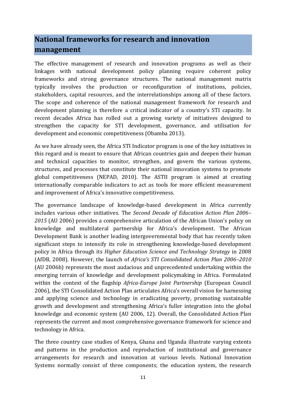## <span id="page-10-0"></span>**National frameworks for research and innovation management**

The effective management of research and innovation programs as well as their linkages with national development policy planning require coherent policy frameworks and strong governance structures. The national management matrix typically involves the production or reconfiguration of institutions, policies, stakeholders, capital resources, and the interrelationships among all of these factors. The scope and coherence of the national management framework for research and development planning is therefore a critical indicator of a country's STI capacity. In recent decades Africa has rolled out a growing variety of initiatives designed to strengthen the capacity for STI development, governance, and utilisation for development and economic competitiveness (Obamba 2013).

As we have already seen, the Africa STI Indicator program is one of the key initiatives in this regard and is meant to ensure that African countries gain and deepen their human and technical capacities to monitor, strengthen, and govern the various systems, structures, and processes that constitute their national innovation systems to promote global competitiveness (NEPAD, 2010). The ASTII program is aimed at creating internationally comparable indicators to act as tools for more efficient measurement and improvement of Africa's innovative competitiveness.

The governance landscape of knowledge-based development in Africa currently includes various other initiatives. The *Second Decade of Education Action Plan 2006– 2015* (AU 2006) provides a comprehensive articulation of the African Union's policy on knowledge and multilateral partnership for Africa's development. The African Development Bank is another leading intergovernmental body that has recently taken significant steps to intensify its role in strengthening knowledge-based development policy in Africa through its *Higher Education Science and Technology Strategy* in 2008 (AfDB, 2008). However, the launch of *Africa's STI Consolidated Action Plan 2006–2010* (AU 2006b) represents the most audacious and unprecedented undertaking within the emerging terrain of knowledge and development policymaking in Africa. Formulated within the context of the flagship *Africa-Europe Joint Partnership* (European Council 2006), the STI Consolidated Action Plan articulates Africa's overall vision for harnessing and applying science and technology in eradicating poverty, promoting sustainable growth and development and strengthening Africa's fuller integration into the global knowledge and economic system (AU 2006, 12). Overall, the Consolidated Action Plan represents the current and most comprehensive governance framework for science and technology in Africa.

The three country case studies of Kenya, Ghana and Uganda illustrate varying extents and patterns in the production and reproduction of institutional and governance arrangements for research and innovation at various levels. National Innovation Systems normally consist of three components; the education system, the research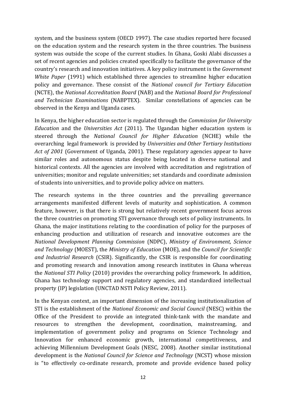system, and the business system (OECD 1997). The case studies reported here focused on the education system and the research system in the three countries. The business system was outside the scope of the current studies. In Ghana, Goski Alabi discusses a set of recent agencies and policies created specifically to facilitate the governance of the country's research and innovation initiatives. A key policy instrument is the *Government White Paper* (1991) which established three agencies to streamline higher education policy and governance. These consist of the *National council for Tertiary Education*  (NCTE), the *National Accreditation Board* (NAB) and the *National Board for Professional and Technician Examinations* (NABPTEX). Similar constellations of agencies can be observed in the Kenya and Uganda cases.

In Kenya, the higher education sector is regulated through the *Commission for University Education* and the *Universities Act* (2011). The Ugandan higher education system is steered through the *National Council for Higher Education* (NCHE) while the overarching legal framework is provided by *Universities and Other Tertiary Institutions Act of 2001* (Government of Uganda, 2001). These regulatory agencies appear to have similar roles and autonomous status despite being located in diverse national and historical contexts. All the agencies are involved with accreditation and registration of universities; monitor and regulate universities; set standards and coordinate admission of students into universities, and to provide policy advice on matters.

The research systems in the three countries and the prevailing governance arrangements manifested different levels of maturity and sophistication. A common feature, however, is that there is strong but relatively recent government focus across the three countries on promoting STI governance through sets of policy instruments. In Ghana, the major institutions relating to the coordination of policy for the purposes of enhancing production and utilization of research and innovative outcomes are the *National Development Planning Commission* (NDPC), *Ministry of Environment, Science and Technology* (MOEST), the *Ministry of Education* (MOE), and the *Council for Scientific and Industrial Research* (CSIR). Significantly, the CSIR is responsible for coordinating and promoting research and innovation among research institutes in Ghana whereas the *National STI Policy* (2010) provides the overarching policy framework. In addition, Ghana has technology support and regulatory agencies, and standardized intellectual property (IP) legislation (UNCTAD NSTI Policy Review, 2011).

In the Kenyan context, an important dimension of the increasing institutionalization of STI is the establishment of the *National Economic and Social Council* (NESC) within the Office of the President to provide an integrated think-tank with the mandate and resources to strengthen the development, coordination, mainstreaming, and implementation of government policy and programs on Science Technology and Innovation for enhanced economic growth, international competitiveness, and achieving Millennium Development Goals (NESC, 2008). Another similar institutional development is the *National Council for Science and Technology* (NCST) whose mission is "to effectively co-ordinate research, promote and provide evidence based policy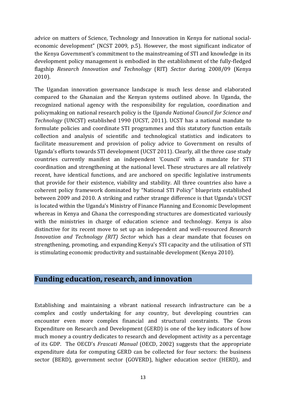advice on matters of Science, Technology and Innovation in Kenya for national socialeconomic development" (NCST 2009, p.5). However, the most significant indicator of the Kenya Government's commitment to the mainstreaming of STI and knowledge in its development policy management is embodied in the establishment of the fully-fledged flagship *Research Innovation and Technology* (RIT) *Sector* during 2008/09 (Kenya 2010).

The Ugandan innovation governance landscape is much less dense and elaborated compared to the Ghanaian and the Kenyan systems outlined above. In Uganda, the recognized national agency with the responsibility for regulation, coordination and policymaking on national research policy is the *Uganda National Council for Science and Technology* (UNCST) established 1990 (UCST, 2011). UCST has a national mandate to formulate policies and coordinate STI programmes and this statutory function entails collection and analysis of scientific and technological statistics and indicators to facilitate measurement and provision of policy advice to Government on results of Uganda's efforts towards STI development (UCST 2011). Clearly, all the three case study countries currently manifest an independent 'Council' with a mandate for STI coordination and strengthening at the national level. These structures are all relatively recent, have identical functions, and are anchored on specific legislative instruments that provide for their existence, viability and stability. All three countries also have a coherent policy framework dominated by "National STI Policy" blueprints established between 2009 and 2010. A striking and rather strange difference is that Uganda's UCST is located within the Uganda's Ministry of Finance Planning and Economic Development whereas in Kenya and Ghana the corresponding structures are domesticated variously with the ministries in charge of education science and technology. Kenya is also distinctive for its recent move to set up an independent and well-resourced *Research Innovation and Technology (RIT) Sector* which has a clear mandate that focuses on strengthening, promoting, and expanding Kenya's STI capacity and the utilisation of STI is stimulating economic productivity and sustainable development (Kenya 2010).

#### <span id="page-12-0"></span>**Funding education, research, and innovation**

Establishing and maintaining a vibrant national research infrastructure can be a complex and costly undertaking for any country, but developing countries can encounter even more complex financial and structural constraints. The Gross Expenditure on Research and Development (GERD) is one of the key indicators of how much money a country dedicates to research and development activity as a percentage of its GDP. The OECD's *Frascati Manual* (OECD, 2002) suggests that the appropriate expenditure data for computing GERD can be collected for four sectors: the business sector (BERD), government sector (GOVERD), higher education sector (HERD), and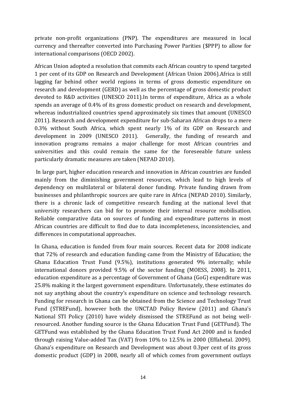private non-profit organizations (PNP). The expenditures are measured in local currency and thereafter converted into Purchasing Power Parities (\$PPP) to allow for international comparisons (OECD 2002).

African Union adopted a resolution that commits each African country to spend targeted 1 per cent of its GDP on Research and Development (African Union 2006).Africa is still lagging far behind other world regions in terms of gross domestic expenditure on research and development (GERD) as well as the percentage of gross domestic product devoted to R&D activities (UNESCO 2011).In terms of expenditure, Africa as a whole spends an average of 0.4% of its gross domestic product on research and development, whereas industrialized countries spend approximately six times that amount (UNESCO 2011). Research and development expenditure for sub-Saharan African drops to a mere 0.3% without South Africa, which spent nearly 1% of its GDP on Research and development in 2009 (UNESCO 2011). Generally, the funding of research and innovation programs remains a major challenge for most African countries and universities and this could remain the same for the foreseeable future unless particularly dramatic measures are taken (NEPAD 2010).

In large part, higher education research and innovation in African countries are funded mainly from the diminishing government resources, which lead to high levels of dependency on multilateral or bilateral donor funding. Private funding drawn from businesses and philanthropic sources are quite rare in Africa (NEPAD 2010). Similarly, there is a chronic lack of competitive research funding at the national level that university researchers can bid for to promote their internal resource mobilisation. Reliable comparative data on sources of funding and expenditure patterns in most African countries are difficult to find due to data incompleteness, inconsistencies, and differences in computational approaches.

In Ghana, education is funded from four main sources. Recent data for 2008 indicate that 72% of research and education funding came from the Ministry of Education; the Ghana Education Trust Fund (9.5%), institutions generated 9% internally; while international donors provided 9.5% of the sector funding (MOESS, 2008). In 2011, education expenditure as a percentage of Government of Ghana (GoG) expenditure was 25.8% making it the largest government expenditure. Unfortunately, these estimates do not say anything about the country's expenditure on science and technology research. Funding for research in Ghana can be obtained from the Science and Technology Trust Fund (STREFund), however both the UNCTAD Policy Review (2011) and Ghana's National STI Policy (2010) have widely dismissed the STREFund as not being wellresourced. Another funding source is the Ghana Education Trust Fund (GETFund). The GETFund was established by the Ghana Education Trust Fund Act 2000 and is funded through raising Value-added Tax (VAT) from 10% to 12.5% in 2000 (Effahetal. 2009). Ghana's expenditure on Research and Development was about 0.3per cent of its gross domestic product (GDP) in 2008, nearly all of which comes from government outlays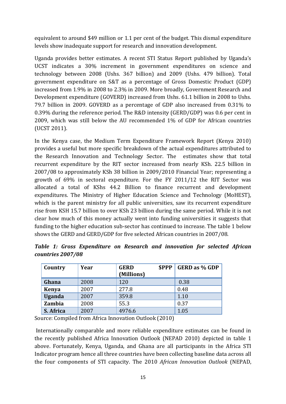equivalent to around \$49 million or 1.1 per cent of the budget. This dismal expenditure levels show inadequate support for research and innovation development.

Uganda provides better estimates. A recent STI Status Report published by Uganda's UCST indicates a 30% increment in government expenditures on science and technology between 2008 (Ushs. 367 billion) and 2009 (Ushs. 479 billion). Total government expenditure on S&T as a percentage of Gross Domestic Product (GDP) increased from 1.9% in 2008 to 2.3% in 2009. More broadly, Government Research and Development expenditure (GOVERD) increased from Ushs. 61.1 billion in 2008 to Ushs. 79.7 billion in 2009. GOVERD as a percentage of GDP also increased from 0.31% to 0.39% during the reference period. The R&D intensity (GERD/GDP) was 0.6 per cent in 2009, which was still below the AU recommended 1% of GDP for African countries (UCST 2011).

In the Kenya case, the Medium Term Expenditure Framework Report (Kenya 2010) provides a useful but more specific breakdown of the actual expenditures attributed to the Research Innovation and Technology Sector. The estimates show that total recurrent expenditure by the RIT sector increased from nearly KSh. 22.5 billion in 2007/08 to approximately KSh 38 billion in 2009/2010 Financial Year; representing a growth of 69% in sectoral expenditure. For the FY 2011/12 the RIT Sector was allocated a total of KShs 44.2 Billion to finance recurrent and development expenditures. The Ministry of Higher Education Science and Technology (MoHEST), which is the parent ministry for all public universities, saw its recurrent expenditure rise from KSH 15.7 billion to over KSh 23 billion during the same period. While it is not clear how much of this money actually went into funding universities it suggests that funding to the higher education sub-sector has continued to increase. The table 1 below shows the GERD and GERD/GDP for five selected African countries in 2007/08.

| Country       | Year | <b>SPPP</b><br><b>GERD</b><br>(Millions) | <b>GERD</b> as % GDP |
|---------------|------|------------------------------------------|----------------------|
| Ghana         | 2008 | 120                                      | 0.38                 |
| <b>Kenya</b>  | 2007 | 277.8                                    | 0.48                 |
| <b>Uganda</b> | 2007 | 359.8                                    | 1.10                 |
| <b>Zambia</b> | 2008 | 55.3                                     | 0.37                 |
| S. Africa     | 2007 | 4976.6                                   | 1.05                 |

*Table 1: Gross Expenditure on Research and innovation for selected African countries 2007/08*

Source: Compiled from Africa Innovation Outlook (2010)

Internationally comparable and more reliable expenditure estimates can be found in the recently published Africa Innovation Outlook (NEPAD 2010) depicted in table 1 above. Fortunately, Kenya, Uganda, and Ghana are all participants in the Africa STI Indicator program hence all three countries have been collecting baseline data across all the four components of STI capacity. The 2010 *African Innovation Outlook* (NEPAD,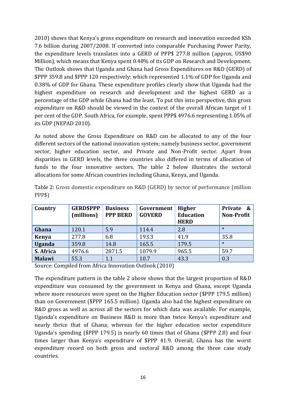2010) shows that Kenya's gross expenditure on research and innovation exceeded KSh 7.6 billion during 2007/2008. If converted into comparable Purchasing Power Parity, the expenditure levels translates into a GERD of PPP\$ 277.8 million (approx. US\$90 Million), which means that Kenya spent 0.48% of its GDP on Research and Development. The Outlook shows that Uganda and Ghana had Gross Expenditures on R&D (GERD) of \$PPP 359.8 and \$PPP 120 respectively; which represented 1.1% of GDP for Uganda and 0.38% of GDP for Ghana. These expenditure profiles clearly show that Uganda had the highest expenditure on research and development and the highest GERD as a percentage of the GDP while Ghana had the least. To put this into perspective, this gross expenditure on R&D should be viewed in the context of the overall African target of 1 per cent of the GDP. South Africa, for example, spent PPP\$ 4976.6 representing 1.05% of its GDP (NEPAD 2010).

As noted above the Gross Expenditure on R&D can be allocated to any of the four different sectors of the national innovation system; namely business sector, government sector, higher education sector, and Private and Non-Profit sector. Apart from disparities in GERD levels, the three countries also differed in terms of allocation of funds to the four innovative sectors. The table 2 below illustrates the sectoral allocations for some African countries including Ghana, Kenya, and Uganda.

| Country       | <b>GERD\$PPP</b><br>(millions) | <b>Business</b><br><b>PPP BERD</b> | Government<br><b>GOVERD</b> | <b>Higher</b><br><b>Education</b><br><b>HERD</b> | Private<br>$\boldsymbol{\mathcal{S}}$<br><b>Non-Profit</b> |
|---------------|--------------------------------|------------------------------------|-----------------------------|--------------------------------------------------|------------------------------------------------------------|
| Ghana         | 120.1                          | 5.9                                | 114.4                       | 2.8                                              | $\ast$                                                     |
| <b>Kenya</b>  | 277.8                          | 6.8                                | 193.3                       | 41.9                                             | 35.8                                                       |
| <b>Uganda</b> | 359.8                          | 14.8                               | 165.5                       | 179.5                                            | $\ast$                                                     |
| S. Africa     | 4976.6                         | 2871.5                             | 1079.9                      | 965.5                                            | 59.7                                                       |
| <b>Malawi</b> | 55.3                           | 1.1                                | 10.7                        | 43.3                                             | 0.3                                                        |

Table 2: Gross domestic expenditure on R&D (GERD) by sector of performance (million PPP\$)

Source: Compiled from Africa Innovation Outlook (2010)

The expenditure pattern in the table 2 above shows that the largest proportion of R&D expenditure was consumed by the government in Kenya and Ghana, except Uganda where more resources were spent on the Higher Education sector (\$PPP 179.5 million) than on Government (\$PPP 165.5 million). Uganda also had the highest expenditure on R&D gross as well as across all the sectors for which data was available. For example, Uganda's expenditure on Business R&D is more than twice Kenya's expenditure and nearly thrice that of Ghana; whereas for the higher education sector expenditure Uganda's spending (\$PPP 179.5) is nearly 60 times that of Ghana (\$PPP 2.8) and four times larger than Kenya's expenditure of \$PPP 41.9. Overall, Ghana has the worst expenditure record on both gross and sectoral R&D among the three case study countries.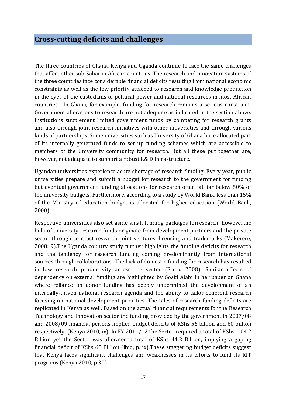<span id="page-16-0"></span>The three countries of Ghana, Kenya and Uganda continue to face the same challenges that affect other sub-Saharan African countries. The research and innovation systems of the three countries face considerable financial deficits resulting from national economic constraints as well as the low priority attached to research and knowledge production in the eyes of the custodians of political power and national resources in most African countries. In Ghana, for example, funding for research remains a serious constraint. Government allocations to research are not adequate as indicated in the section above. Institutions supplement limited government funds by competing for research grants and also through joint research initiatives with other universities and through various kinds of partnerships. Some universities such as University of Ghana have allocated part of its internally generated funds to set up funding schemes which are accessible to members of the University community for research. But all these put together are, however, not adequate to support a robust R& D infrastructure.

Ugandan universities experience acute shortage of research funding. Every year, public universities prepare and submit a budget for research to the government for funding but eventual government funding allocations for research often fall far below 50% of the university budgets. Furthermore, according to a study by World Bank, less than 15% of the Ministry of education budget is allocated for higher education (World Bank, 2000).

Respective universities also set aside small funding packages forresearch; howeverthe bulk of university research funds originate from development partners and the private sector through contract research, joint ventures, licensing and trademarks (Makerere, 2008: 9).The Uganda country study further highlights the funding deficits for research and the tendency for research funding coming predominantly from international sources through collaborations. The lack of domestic funding for research has resulted in low research productivity across the sector (Ecuru 2008). Similar effects of dependency on external funding are highlighted by Goski Alabi in her paper on Ghana where reliance on donor funding has deeply undermined the development of an internally-driven national research agenda and the ability to tailor coherent research focusing on national development priorities. The tales of research funding deficits are replicated in Kenya as well. Based on the actual financial requirements for the Research Technology and Innovation sector the funding provided by the government in 2007/08 and 2008/09 financial periods implied budget deficits of KShs 56 billion and 60 billion respectively (Kenya 2010, ix). In FY 2011/12 the Sector required a total of KShs. 104.2 Billion yet the Sector was allocated a total of KShs 44.2 Billion, implying a gaping financial deficit of KShs 60 Billion (ibid, p. ix).These staggering budget deficits suggest that Kenya faces significant challenges and weaknesses in its efforts to fund its RIT programs (Kenya 2010, p.30).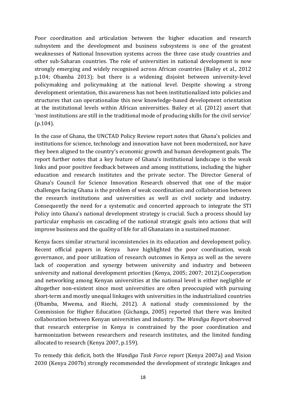Poor coordination and articulation between the higher education and research subsystem and the development and business subsystems is one of the greatest weaknesses of National Innovation systems across the three case study countries and other sub-Saharan countries. The role of universities in national development is now strongly emerging and widely recognised across African countries (Bailey et al., 2012 p.104; Obamba 2013); but there is a widening disjoint between university-level policymaking and policymaking at the national level. Despite showing a strong development orientation, this awareness has not been institutionalized into policies and structures that can operationalize this new knowledge-based development orientation at the institutional levels within African universities. Bailey et al. (2012) assert that 'most institutions are still in the traditional mode of producing skills for the civil service' (p.104).

In the case of Ghana, the UNCTAD Policy Review report notes that Ghana's policies and institutions for science, technology and innovation have not been modernized, nor have they been aligned to the country's economic growth and human development goals. The report further notes that a key feature of Ghana's institutional landscape is the weak links and poor positive feedback between and among institutions, including the higher education and research institutes and the private sector. The Director General of Ghana's Council for Science Innovation Research observed that one of the major challenges facing Ghana is the problem of weak coordination and collaboration between the research institutions and universities as well as civil society and industry. Consequently the need for a systematic and concerted approach to integrate the STI Policy into Ghana's national development strategy is crucial. Such a process should lay particular emphasis on cascading of the national strategic goals into actions that will improve business and the quality of life for all Ghanaians in a sustained manner.

Kenya faces similar structural inconsistencies in its education and development policy. Recent official papers in Kenya have highlighted the poor coordination, weak governance, and poor utilization of research outcomes in Kenya as well as the severe lack of cooperation and synergy between university and industry and between university and national development priorities (Kenya, 2005; 2007; 2012).Cooperation and networking among Kenyan universities at the national level is either negligible or altogether non-existent since most universities are often preoccupied with pursuing short-term and mostly unequal linkages with universities in the industrialized countries (Obamba, Mwema, and Riechi, 2012). A national study commissioned by the Commission for Higher Education (Gichanga, 2005) reported that there was limited collaboration between Kenyan universities and industry. The *Wandiga Report* observed that research enterprise in Kenya is constrained by the poor coordination and harmonization between researchers and research institutes, and the limited funding allocated to research (Kenya 2007, p.159).

To remedy this deficit, both the *Wandiga Task Force report* (Kenya 2007a) and Vision 2030 (Kenya 2007b) strongly recommended the development of strategic linkages and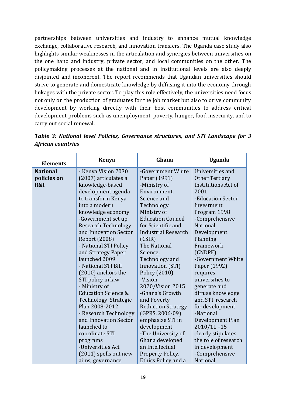partnerships between universities and industry to enhance mutual knowledge exchange, collaborative research, and innovation transfers. The Uganda case study also highlights similar weaknesses in the articulation and synergies between universities on the one hand and industry, private sector, and local communities on the other. The policymaking processes at the national and in institutional levels are also deeply disjointed and incoherent. The report recommends that Ugandan universities should strive to generate and domesticate knowledge by diffusing it into the economy through linkages with the private sector. To play this role effectively, the universities need focus not only on the production of graduates for the job market but also to drive community development by working directly with their host communities to address critical development problems such as unemployment, poverty, hunger, food insecurity, and to carry out social renewal.

| <b>Elements</b> | <b>Kenya</b>                         | Ghana                      | <b>Uganda</b>              |
|-----------------|--------------------------------------|----------------------------|----------------------------|
| <b>National</b> | - Kenya Vision 2030                  | -Government White          | Universities and           |
| policies on     | (2007) articulates a<br>Paper (1991) |                            | Other Tertiary             |
| R&I             | knowledge-based                      | -Ministry of               | <b>Institutions Act of</b> |
|                 | development agenda                   | Environment,               | 2001                       |
|                 | to transform Kenya                   | Science and                | -Education Sector          |
|                 | into a modern                        | Technology                 | Investment                 |
|                 | knowledge economy                    | Ministry of                | Program 1998               |
|                 | -Government set up                   | <b>Education Council</b>   | -Comprehensive             |
|                 | <b>Research Technology</b>           | for Scientific and         | <b>National</b>            |
|                 | and Innovation Sector                | <b>Industrial Research</b> | Development                |
|                 | <b>Report (2008)</b>                 | (CSIR)                     | Planning                   |
|                 | - National STI Policy                | The National               | Framework                  |
|                 | and Strategy Paper                   | Science,                   | (CNDPF)                    |
|                 | launched 2009                        | Technology and             | -Government White          |
|                 | - National STI Bill                  | Innovation (STI)           | Paper (1992)               |
|                 | $(2010)$ anchors the                 | Policy (2010)              | requires                   |
|                 | STI policy in law                    | -Vision                    | universities to            |
|                 | - Ministry of                        | 2020/Vision 2015           | generate and               |
|                 | <b>Education Science &amp;</b>       | -Ghana's Growth            | diffuse knowledge          |
|                 | Technology Strategic                 | and Poverty                | and STI research           |
|                 | Plan 2008-2012                       | <b>Reduction Strategy</b>  | for development            |
|                 | - Research Technology                | $(GPRS, 2006-09)$          | -National                  |
|                 | and Innovation Sector                | emphasize STI in           | Development Plan           |
|                 | launched to                          | development                | $2010/11 - 15$             |
|                 | coordinate STI                       | -The University of         | clearly stipulates         |
|                 | programs                             | Ghana developed            | the role of research       |
|                 | -Universities Act                    | an Intellectual            | in development             |
|                 | (2011) spells out new                | Property Policy,           | -Comprehensive             |
|                 | aims, governance                     | Ethics Policy and a        | National                   |

*Table 3: National level Policies, Governance structures, and STI Landscape for 3 African countries*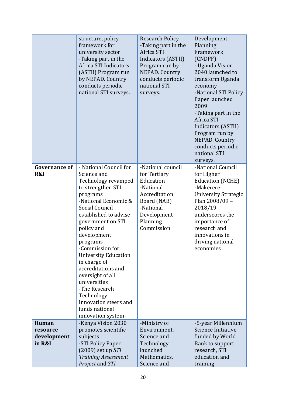|                                            | structure, policy<br>framework for<br>university sector<br>-Taking part in the<br>Africa STI Indicators<br>(ASTII) Program run<br>by NEPAD. Country<br>conducts periodic<br>national STI surveys.                                                                                                                                                                                                                                                         | <b>Research Policy</b><br>-Taking part in the<br>Africa STI<br>Indicators (ASTII)<br>Program run by<br><b>NEPAD. Country</b><br>conducts periodic<br>national STI<br>surveys. | Development<br>Planning<br>Framework<br>(CNDPF)<br>- Uganda Vision<br>2040 launched to<br>transform Uganda<br>economy<br>-National STI Policy<br>Paper launched<br>2009<br>-Taking part in the<br>Africa STI<br>Indicators (ASTII)<br>Program run by<br>NEPAD. Country<br>conducts periodic<br>national STI<br>surveys. |
|--------------------------------------------|-----------------------------------------------------------------------------------------------------------------------------------------------------------------------------------------------------------------------------------------------------------------------------------------------------------------------------------------------------------------------------------------------------------------------------------------------------------|-------------------------------------------------------------------------------------------------------------------------------------------------------------------------------|-------------------------------------------------------------------------------------------------------------------------------------------------------------------------------------------------------------------------------------------------------------------------------------------------------------------------|
| <b>Governance of</b><br>R&I                | - National Council for<br>Science and<br>Technology revamped<br>to strengthen STI<br>programs<br>-National Economic &<br>Social Council<br>established to advise<br>government on STI<br>policy and<br>development<br>programs<br>-Commission for<br><b>University Education</b><br>in charge of<br>accreditations and<br>oversight of all<br>universities<br>-The Research<br>Technology<br>Innovation steers and<br>funds national<br>innovation system | -National council<br>for Tertiary<br>Education<br>-National<br>Accreditation<br>Board (NAB)<br>-National<br>Development<br>Planning<br>Commission                             | -National Council<br>for Higher<br><b>Education (NCHE)</b><br>-Makerere<br><b>University Strategic</b><br>Plan 2008/09 -<br>2018/19<br>underscores the<br>importance of<br>research and<br>innovations in<br>driving national<br>economies                                                                              |
| Human<br>resource<br>development<br>in R&I | -Kenya Vision 2030<br>promotes scientific<br>subjects<br>-STI Policy Paper<br>$(2009)$ set up $STI$<br><b>Training Assessment</b><br>Project and STI                                                                                                                                                                                                                                                                                                      | -Ministry of<br>Environment,<br>Science and<br>Technology<br>launched<br>Mathematics,<br>Science and                                                                          | -5-year Millennium<br>Science Initiative<br>funded by World<br>Bank to support<br>research, STI<br>education and<br>training                                                                                                                                                                                            |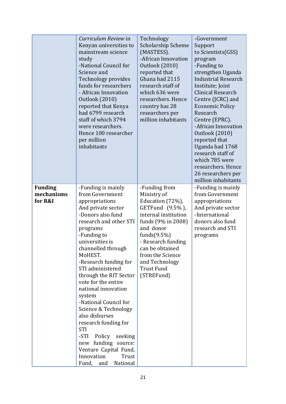|                                         | Curriculum Review in<br>Kenyan universities to<br>mainstream science<br>study<br>-National Council for<br>Science and<br>Technology provides<br>funds for researchers<br>- African Innovation<br><b>Outlook</b> (2010)<br>reported that Kenya<br>had 6799 research<br>staff of which 3794<br>were researchers.<br>Hence 100 researcher<br>per million<br>inhabitants                                                                                                                                                                                                          | Technology<br><b>Scholarship Scheme</b><br>(MASTESS).<br>-African Innovation<br><b>Outlook (2010)</b><br>reported that<br>Ghana had 2115<br>research staff of<br>which 636 were<br>researchers. Hence<br>country has 28<br>researchers per<br>million inhabitants   | -Government<br>Support<br>to Scientists(GSS)<br>program<br>-Funding to<br>strengthen Uganda<br><b>Industrial Research</b><br>Institute; Joint<br>Clinical Research<br>Centre (JCRC) and<br><b>Economic Policy</b><br>Research<br>Centre (EPRC).<br>-African Innovation<br>Outlook (2010)<br>reported that<br>Uganda had 1768<br>research staff of<br>which 785 were<br>researchers. Hence<br>26 researchers per<br>million inhabitants |
|-----------------------------------------|-------------------------------------------------------------------------------------------------------------------------------------------------------------------------------------------------------------------------------------------------------------------------------------------------------------------------------------------------------------------------------------------------------------------------------------------------------------------------------------------------------------------------------------------------------------------------------|---------------------------------------------------------------------------------------------------------------------------------------------------------------------------------------------------------------------------------------------------------------------|----------------------------------------------------------------------------------------------------------------------------------------------------------------------------------------------------------------------------------------------------------------------------------------------------------------------------------------------------------------------------------------------------------------------------------------|
| <b>Funding</b><br>mechanisms<br>for R&I | -Funding is mainly<br>from Government<br>appropriations<br>And private sector<br>-Donors also fund<br>research and other STI<br>programs<br>-Funding to<br>universities is<br>channelled through<br>MoHEST.<br>-Research funding for<br>STI administered<br>through the RIT Sector<br>vote for the entire<br>national innovation<br>system<br>-National Council for<br>Science & Technology<br>also disburses<br>research funding for<br><b>STI</b><br>-STI Policy<br>seeking<br>new funding source:<br>Venture Capital Fund,<br>Innovation<br>Trust<br>Fund, and<br>National | -Funding from<br>Ministry of<br>Education (72%),<br>GETFund (9.5%),<br>internal institution<br>funds (9% in 2008)<br>and donor<br>funds $(9.5\%)$<br>- Research funding<br>can be obtained<br>from the Science<br>and Technology<br><b>Trust Fund</b><br>(STREFund) | -Funding is mainly<br>from Government<br>appropriations<br>And private sector<br>-International<br>donors also fund<br>research and STI<br>programs                                                                                                                                                                                                                                                                                    |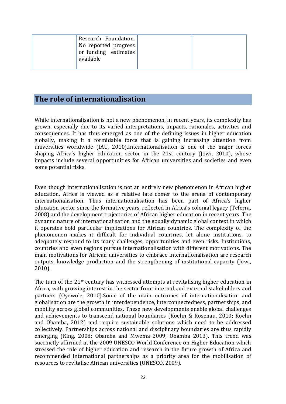| Research Foundation.<br>No reported progress<br>or funding estimates<br>available |  |
|-----------------------------------------------------------------------------------|--|
|-----------------------------------------------------------------------------------|--|

#### <span id="page-21-0"></span>**The role of internationalisation**

While internationalisation is not a new phenomenon, in recent years, its complexity has grown, especially due to its varied interpretations, impacts, rationales, activities and consequences. It has thus emerged as one of the defining issues in higher education globally, making it a formidable force that is gaining increasing attention from universities worldwide (IAU, 2010).Internationalisation is one of the major forces shaping Africa's higher education sector in the 21st century (Jowi, 2010), whose impacts include several opportunities for African universities and societies and even some potential risks.

Even though internationalisation is not an entirely new phenomenon in African higher education, Africa is viewed as a relative late comer to the arena of contemporary internationalisation. Thus internationalisation has been part of Africa's higher education sector since the formative years, reflected in Africa's colonial legacy (Teferra, 2008) and the development trajectories of African higher education in recent years. The dynamic nature of internationalisation and the equally dynamic global context in which it operates hold particular implications for African countries. The complexity of the phenomenon makes it difficult for individual countries, let alone institutions, to adequately respond to its many challenges, opportunities and even risks. Institutions, countries and even regions pursue internationalisation with different motivations. The main motivations for African universities to embrace internationalisation are research outputs, knowledge production and the strengthening of institutional capacity (Jowi, 2010).

The turn of the 21st century has witnessed attempts at revitalising higher education in Africa, with growing interest in the sector from internal and external stakeholders and partners (Oyewole, 2010).Some of the main outcomes of internationalisation and globalisation are the growth in interdependence, interconnectedness, partnerships, and mobility across global communities. These new developments enable global challenges and achievements to transcend national boundaries (Koehn & Rosenau, 2010; Koehn and Obamba, 2012) and require sustainable solutions which need to be addressed collectively. Partnerships across national and disciplinary boundaries are thus rapidly emerging (King, 2008; Obamba and Mwema 2009; Obamba 2013). This trend was succinctly affirmed at the 2009 UNESCO World Conference on Higher Education which stressed the role of higher education and research in the future growth of Africa and recommended international partnerships as a priority area for the mobilisation of resources to revitalise African universities (UNESCO, 2009).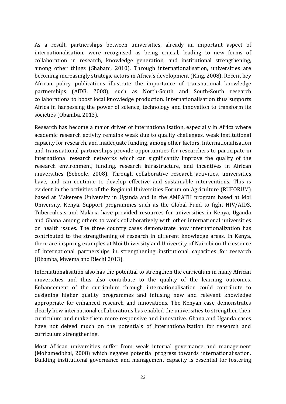As a result, partnerships between universities, already an important aspect of internationalisation, were recognised as being crucial, leading to new forms of collaboration in research, knowledge generation, and institutional strengthening, among other things (Shabani, 2010). Through internationalisation, universities are becoming increasingly strategic actors in Africa's development (King, 2008). Recent key African policy publications illustrate the importance of transnational knowledge partnerships (AfDB, 2008), such as North-South and South-South research collaborations to boost local knowledge production. Internationalisation thus supports Africa in harnessing the power of science, technology and innovation to transform its societies (Obamba, 2013).

Research has become a major driver of internationalisation, especially in Africa where academic research activity remains weak due to quality challenges, weak institutional capacity for research, and inadequate funding, among other factors. Internationalisation and transnational partnerships provide opportunities for researchers to participate in international research networks which can significantly improve the quality of the research environment, funding, research infrastructure, and incentives in African universities (Sehoole, 2008). Through collaborative research activities, universities have, and can continue to develop effective and sustainable interventions. This is evident in the activities of the Regional Universities Forum on Agriculture (RUFORUM) based at Makerere University in Uganda and in the AMPATH program based at Moi University, Kenya. Support programmes such as the Global Fund to fight HIV/AIDS, Tuberculosis and Malaria have provided resources for universities in Kenya, Uganda and Ghana among others to work collaboratively with other international universities on health issues. The three country cases demonstrate how internationalization has contributed to the strengthening of research in different knowledge areas. In Kenya, there are inspiring examples at Moi University and University of Nairobi on the essence of international partnerships in strengthening institutional capacities for research (Obamba, Mwema and Riechi 2013).

Internationalisation also has the potential to strengthen the curriculum in many African universities and thus also contribute to the quality of the learning outcomes. Enhancement of the curriculum through internationalisation could contribute to designing higher quality programmes and infusing new and relevant knowledge appropriate for enhanced research and innovations. The Kenyan case demonstrates clearly how international collaborations has enabled the universities to strengthen their curriculum and make them more responsive and innovative. Ghana and Uganda cases have not delved much on the potentials of internationalization for research and curriculum strengthening.

Most African universities suffer from weak internal governance and management (Mohamedbhai, 2008) which negates potential progress towards internationalisation. Building institutional governance and management capacity is essential for fostering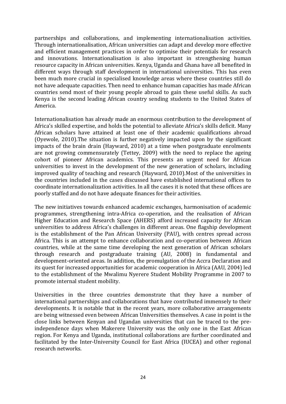partnerships and collaborations, and implementing internationalisation activities. Through internationalisation, African universities can adapt and develop more effective and efficient management practices in order to optimise their potentials for research and innovations. Internationalisation is also important in strengthening human resource capacity in African universities. Kenya, Uganda and Ghana have all benefited in different ways through staff development in international universities. This has even been much more crucial in specialised knowledge areas where these countries still do not have adequate capacities. Then need to enhance human capacities has made African countries send most of their young people abroad to gain these useful skills. As such Kenya is the second leading African country sending students to the United States of America.

Internationalisation has already made an enormous contribution to the development of Africa's skilled expertise, and holds the potential to alleviate Africa's skills deficit. Many African scholars have attained at least one of their academic qualifications abroad (Oyewole, 2010).The situation is further negatively impacted upon by the significant impacts of the brain drain (Hayward, 2010) at a time when postgraduate enrolments are not growing commensurately (Tettey, 2009) with the need to replace the ageing cohort of pioneer African academics. This presents an urgent need for African universities to invest in the development of the new generation of scholars, including improved quality of teaching and research (Hayward, 2010).Most of the universities in the countries included in the cases discussed have established international offices to coordinate internationalization activities. In all the cases it is noted that these offices are poorly staffed and do not have adequate finances for their activities.

The new initiatives towards enhanced academic exchanges, harmonisation of academic programmes, strengthening intra-Africa co-operation, and the realisation of African Higher Education and Research Space (AHERS) afford increased capacity for African universities to address Africa's challenges in different areas. One flagship development is the establishment of the Pan African University (PAU), with centres spread across Africa. This is an attempt to enhance collaboration and co-operation between African countries, while at the same time developing the next generation of African scholars through research and postgraduate training (AU, 2008) in fundamental and development-oriented areas. In addition, the promulgation of the Accra Declaration and its quest for increased opportunities for academic cooperation in Africa (AAU, 2004) led to the establishment of the Mwalimu Nyerere Student Mobility Programme in 2007 to promote internal student mobility.

Universities in the three countries demonstrate that they have a number of international partnerships and collaborations that have contributed immensely to their developments. It is notable that in the recent years, more collaborative arrangements are being witnessed even between African Universities themselves. A case in point is the close links between Kenyan and Ugandan universities that can be traced to the preindependence days when Makerere University was the only one in the East African region. For Kenya and Uganda, institutional collaborations are further coordinated and facilitated by the Inter-University Council for East Africa (IUCEA) and other regional research networks.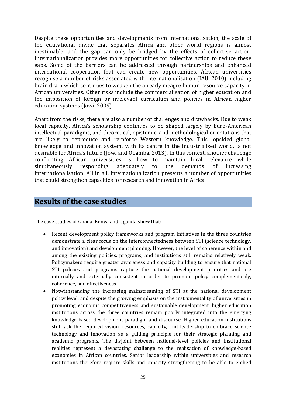Despite these opportunities and developments from internationalization, the scale of the educational divide that separates Africa and other world regions is almost inestimable, and the gap can only be bridged by the effects of collective action. Internationalization provides more opportunities for collective action to reduce these gaps. Some of the barriers can be addressed through partnerships and enhanced international cooperation that can create new opportunities. African universities recognise a number of risks associated with internationalisation (IAU, 2010) including brain drain which continues to weaken the already meagre human resource capacity in African universities. Other risks include the commercialisation of higher education and the imposition of foreign or irrelevant curriculum and policies in African higher education systems (Jowi, 2009).

Apart from the risks, there are also a number of challenges and drawbacks. Due to weak local capacity, Africa's scholarship continues to be shaped largely by Euro-American intellectual paradigms, and theoretical, epistemic, and methodological orientations that are likely to reproduce and reinforce Western knowledge. This lopsided global knowledge and innovation system, with its centre in the industrialised world, is not desirable for Africa's future (Jowi and Obamba, 2013). In this context, another challenge confronting African universities is how to maintain local relevance while simultaneously responding adequately to the demands of increasing internationalisation. All in all, internationalization presents a number of opportunities that could strengthen capacities for research and innovation in Africa

#### <span id="page-24-0"></span>**Results of the case studies**

The case studies of Ghana, Kenya and Uganda show that:

- Recent development policy frameworks and program initiatives in the three countries demonstrate a clear focus on the interconnectedness between STI (science technology, and innovation) and development planning. However, the level of coherence within and among the existing policies, programs, and institutions still remains relatively weak. Policymakers require greater awareness and capacity building to ensure that national STI policies and programs capture the national development priorities and are internally and externally consistent in order to promote policy complementarily, coherence, and effectiveness.
- Notwithstanding the increasing mainstreaming of STI at the national development policy level, and despite the growing emphasis on the instrumentality of universities in promoting economic competitiveness and sustainable development, higher education institutions across the three countries remain poorly integrated into the emerging knowledge-based development paradigm and discourse. Higher education institutions still lack the required vision, resources, capacity, and leadership to embrace science technology and innovation as a guiding principle for their strategic planning and academic programs. The disjoint between national-level policies and institutional realities represent a devastating challenge to the realisation of knowledge-based economies in African countries. Senior leadership within universities and research institutions therefore require skills and capacity strengthening to be able to embed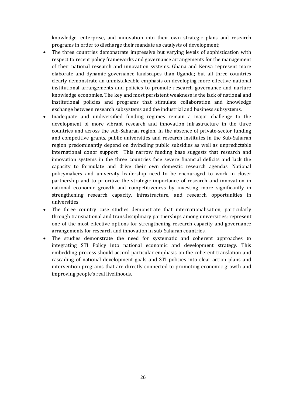knowledge, enterprise, and innovation into their own strategic plans and research programs in order to discharge their mandate as catalysts of development;

- The three countries demonstrate impressive but varying levels of sophistication with respect to recent policy frameworks and governance arrangements for the management of their national research and innovation systems. Ghana and Kenya represent more elaborate and dynamic governance landscapes than Uganda; but all three countries clearly demonstrate an unmistakeable emphasis on developing more effective national institutional arrangements and policies to promote research governance and nurture knowledge economies. The key and most persistent weakness is the lack of national and institutional policies and programs that stimulate collaboration and knowledge exchange between research subsystems and the industrial and business subsystems.
- Inadequate and undiversified funding regimes remain a major challenge to the development of more vibrant research and innovation infrastructure in the three countries and across the sub-Saharan region. In the absence of private-sector funding and competitive grants, public universities and research institutes in the Sub-Saharan region predominantly depend on dwindling public subsidies as well as unpredictable international donor support. This narrow funding base suggests that research and innovation systems in the three countries face severe financial deficits and lack the capacity to formulate and drive their own domestic research agendas. National policymakers and university leadership need to be encouraged to work in closer partnership and to prioritize the strategic importance of research and innovation in national economic growth and competitiveness by investing more significantly in strengthening research capacity, infrastructure, and research opportunities in universities.
- The three country case studies demonstrate that internationalisation, particularly through transnational and transdisciplinary partnerships among universities; represent one of the most effective options for strengthening research capacity and governance arrangements for research and innovation in sub-Saharan countries.
- The studies demonstrate the need for systematic and coherent approaches to integrating STI Policy into national economic and development strategy. This embedding process should accord particular emphasis on the coherent translation and cascading of national development goals and STI policies into clear action plans and intervention programs that are directly connected to promoting economic growth and improving people's real livelihoods.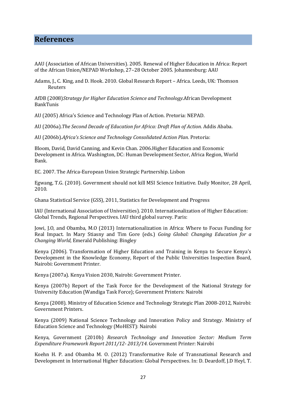#### <span id="page-26-0"></span>**References**

AAU (Association of African Universities). 2005. Renewal of Higher Education in Africa: Report of the African Union/NEPAD Workshop, 27–28 October 2005. Johannesburg: AAU

Adams, J., C. King, and D. Hook. 2010. Global Research Report – Africa. Leeds, UK: Thomson Reuters

AfDB (2008)*Strategy for Higher Education Science and Technology*.African Development BankTunis

AU (2005) Africa's Science and Technology Plan of Action. Pretoria: NEPAD.

AU (2006a).*The Second Decade of Education for Africa: Draft Plan of Action.* Addis Ababa.

AU (2006b).*Africa's Science and Technology Consolidated Action Plan.* Pretoria:

Bloom, David, David Canning, and Kevin Chan. 2006.Higher Education and Economic Development in Africa. Washington, DC: Human Development Sector, Africa Region, World Bank.

EC. 2007. The Africa-European Union Strategic Partnership. Lisbon

Egwang, T.G. (2010). Government should not kill MSI Science Initiative. Daily Monitor, 28 April, 2010.

Ghana Statistical Service (GSS), 2011, Statistics for Development and Progress

IAU (International Association of Universities). 2010. Internationalization of Higher Education: Global Trends, Regional Perspectives. IAU third global survey. Paris:

Jowi, J.O, and Obamba, M.O (2013) Internationalization in Africa: Where to Focus Funding for Real Impact. In Mary Stiasny and Tim Gore (eds.) *Going Global: Changing Education for a Changing World*, Emerald Publishing: Bingley

Kenya (2006). Transformation of Higher Education and Training in Kenya to Secure Kenya's Development in the Knowledge Economy, Report of the Public Universities Inspection Board, Nairobi: Government Printer.

Kenya (2007a). Kenya Vision 2030, Nairobi: Government Printer.

Kenya (2007b) Report of the Task Force for the Development of the National Strategy for University Education (Wandiga Task Force); Government Printers: Nairobi

Kenya (2008). Ministry of Education Science and Technology Strategic Plan 2008-2012, Nairobi: Government Printers.

Kenya (2009) National Science Technology and Innovation Policy and Strategy. Ministry of Education Science and Technology (MoHEST): Nairobi

Kenya, Government (2010b) *Research Technology and Innovation Sector: Medium Term Expenditure Framework Report 2011/12- 2013/14.* Government Printer: Nairobi

Koehn H. P. and Obamba M. O. (2012) Transformative Role of Transnational Research and Development in International Higher Education: Global Perspectives. In: D. Deardoff, J.D Heyl, T.